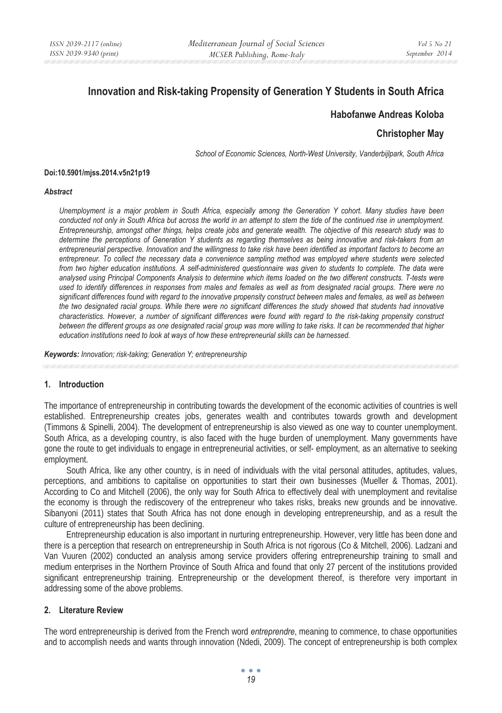# **Innovation and Risk-taking Propensity of Generation Y Students in South Africa**

# **Habofanwe Andreas Koloba**

# **Christopher May**

*School of Economic Sciences, North-West University, Vanderbijlpark, South Africa* 

#### **Doi:10.5901/mjss.2014.v5n21p19**

#### *Abstract*

*Unemployment is a major problem in South Africa, especially among the Generation Y cohort. Many studies have been conducted not only in South Africa but across the world in an attempt to stem the tide of the continued rise in unemployment. Entrepreneurship, amongst other things, helps create jobs and generate wealth. The objective of this research study was to determine the perceptions of Generation Y students as regarding themselves as being innovative and risk-takers from an entrepreneurial perspective. Innovation and the willingness to take risk have been identified as important factors to become an entrepreneur. To collect the necessary data a convenience sampling method was employed where students were selected from two higher education institutions. A self-administered questionnaire was given to students to complete. The data were analysed using Principal Components Analysis to determine which items loaded on the two different constructs. T-tests were used to identify differences in responses from males and females as well as from designated racial groups. There were no significant differences found with regard to the innovative propensity construct between males and females, as well as between the two designated racial groups. While there were no significant differences the study showed that students had innovative characteristics. However, a number of significant differences were found with regard to the risk-taking propensity construct between the different groups as one designated racial group was more willing to take risks. It can be recommended that higher education institutions need to look at ways of how these entrepreneurial skills can be harnessed.* 

*Keywords: Innovation; risk-taking; Generation Y; entrepreneurship*

## **1. Introduction**

The importance of entrepreneurship in contributing towards the development of the economic activities of countries is well established. Entrepreneurship creates jobs, generates wealth and contributes towards growth and development (Timmons & Spinelli, 2004). The development of entrepreneurship is also viewed as one way to counter unemployment. South Africa, as a developing country, is also faced with the huge burden of unemployment. Many governments have gone the route to get individuals to engage in entrepreneurial activities, or self- employment, as an alternative to seeking employment.

South Africa, like any other country, is in need of individuals with the vital personal attitudes, aptitudes, values, perceptions, and ambitions to capitalise on opportunities to start their own businesses (Mueller & Thomas, 2001). According to Co and Mitchell (2006), the only way for South Africa to effectively deal with unemployment and revitalise the economy is through the rediscovery of the entrepreneur who takes risks, breaks new grounds and be innovative. Sibanyoni (2011) states that South Africa has not done enough in developing entrepreneurship, and as a result the culture of entrepreneurship has been declining.

Entrepreneurship education is also important in nurturing entrepreneurship. However, very little has been done and there is a perception that research on entrepreneurship in South Africa is not rigorous (Co & Mitchell, 2006). Ladzani and Van Vuuren (2002) conducted an analysis among service providers offering entrepreneurship training to small and medium enterprises in the Northern Province of South Africa and found that only 27 percent of the institutions provided significant entrepreneurship training. Entrepreneurship or the development thereof, is therefore very important in addressing some of the above problems.

## **2. Literature Review**

The word entrepreneurship is derived from the French word *entreprendre*, meaning to commence, to chase opportunities and to accomplish needs and wants through innovation (Ndedi, 2009). The concept of entrepreneurship is both complex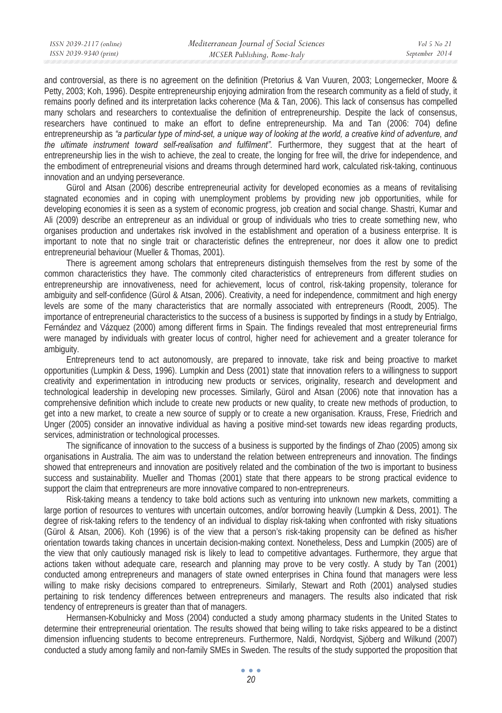and controversial, as there is no agreement on the definition (Pretorius & Van Vuuren, 2003; Longernecker, Moore & Petty, 2003; Koh, 1996). Despite entrepreneurship enjoying admiration from the research community as a field of study, it remains poorly defined and its interpretation lacks coherence (Ma & Tan, 2006). This lack of consensus has compelled many scholars and researchers to contextualise the definition of entrepreneurship. Despite the lack of consensus, researchers have continued to make an effort to define entrepreneurship. Ma and Tan (2006: 704) define entrepreneurship as *"a particular type of mind-set, a unique way of looking at the world, a creative kind of adventure, and the ultimate instrument toward self-realisation and fulfilment".* Furthermore, they suggest that at the heart of entrepreneurship lies in the wish to achieve, the zeal to create, the longing for free will, the drive for independence, and the embodiment of entrepreneurial visions and dreams through determined hard work, calculated risk-taking, continuous innovation and an undying perseverance.

Gürol and Atsan (2006) describe entrepreneurial activity for developed economies as a means of revitalising stagnated economies and in coping with unemployment problems by providing new job opportunities, while for developing economies it is seen as a system of economic progress, job creation and social change. Shastri, Kumar and Ali (2009) describe an entrepreneur as an individual or group of individuals who tries to create something new, who organises production and undertakes risk involved in the establishment and operation of a business enterprise. It is important to note that no single trait or characteristic defines the entrepreneur, nor does it allow one to predict entrepreneurial behaviour (Mueller & Thomas, 2001).

There is agreement among scholars that entrepreneurs distinguish themselves from the rest by some of the common characteristics they have. The commonly cited characteristics of entrepreneurs from different studies on entrepreneurship are innovativeness, need for achievement, locus of control, risk-taking propensity, tolerance for ambiguity and self-confidence (Gürol & Atsan, 2006). Creativity, a need for independence, commitment and high energy levels are some of the many characteristics that are normally associated with entrepreneurs (Roodt, 2005). The importance of entrepreneurial characteristics to the success of a business is supported by findings in a study by Entrialgo, Fernández and Vázquez (2000) among different firms in Spain. The findings revealed that most entrepreneurial firms were managed by individuals with greater locus of control, higher need for achievement and a greater tolerance for ambiguity.

Entrepreneurs tend to act autonomously, are prepared to innovate, take risk and being proactive to market opportunities (Lumpkin & Dess, 1996). Lumpkin and Dess (2001) state that innovation refers to a willingness to support creativity and experimentation in introducing new products or services, originality, research and development and technological leadership in developing new processes. Similarly, Gürol and Atsan (2006) note that innovation has a comprehensive definition which include to create new products or new quality, to create new methods of production, to get into a new market, to create a new source of supply or to create a new organisation. Krauss, Frese, Friedrich and Unger (2005) consider an innovative individual as having a positive mind-set towards new ideas regarding products, services, administration or technological processes.

The significance of innovation to the success of a business is supported by the findings of Zhao (2005) among six organisations in Australia. The aim was to understand the relation between entrepreneurs and innovation. The findings showed that entrepreneurs and innovation are positively related and the combination of the two is important to business success and sustainability. Mueller and Thomas (2001) state that there appears to be strong practical evidence to support the claim that entrepreneurs are more innovative compared to non-entrepreneurs.

Risk-taking means a tendency to take bold actions such as venturing into unknown new markets, committing a large portion of resources to ventures with uncertain outcomes, and/or borrowing heavily (Lumpkin & Dess, 2001). The degree of risk-taking refers to the tendency of an individual to display risk-taking when confronted with risky situations (Gürol & Atsan, 2006). Koh (1996) is of the view that a person's risk-taking propensity can be defined as his/her orientation towards taking chances in uncertain decision-making context. Nonetheless, Dess and Lumpkin (2005) are of the view that only cautiously managed risk is likely to lead to competitive advantages. Furthermore, they argue that actions taken without adequate care, research and planning may prove to be very costly. A study by Tan (2001) conducted among entrepreneurs and managers of state owned enterprises in China found that managers were less willing to make risky decisions compared to entrepreneurs. Similarly, Stewart and Roth (2001) analysed studies pertaining to risk tendency differences between entrepreneurs and managers. The results also indicated that risk tendency of entrepreneurs is greater than that of managers.

Hermansen-Kobulnicky and Moss (2004) conducted a study among pharmacy students in the United States to determine their entrepreneurial orientation. The results showed that being willing to take risks appeared to be a distinct dimension influencing students to become entrepreneurs. Furthermore, Naldi, Nordqvist, Sjöberg and Wilkund (2007) conducted a study among family and non-family SMEs in Sweden. The results of the study supported the proposition that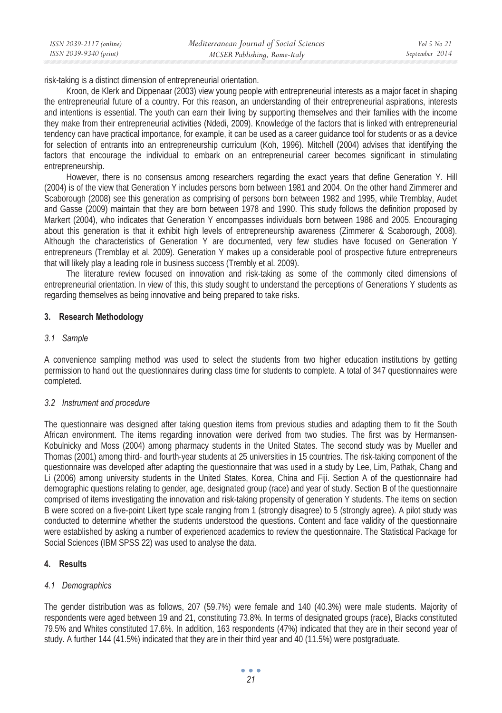| Mediterranean Journal of Social Sciences<br>ISSN 2039-2117 (online) | Vol 5 No 21    |
|---------------------------------------------------------------------|----------------|
| ISSN 2039-9340 (print)<br>MCSER Publishing, Rome-Italy              | September 2014 |

risk-taking is a distinct dimension of entrepreneurial orientation.

Kroon, de Klerk and Dippenaar (2003) view young people with entrepreneurial interests as a major facet in shaping the entrepreneurial future of a country. For this reason, an understanding of their entrepreneurial aspirations, interests and intentions is essential. The youth can earn their living by supporting themselves and their families with the income they make from their entrepreneurial activities (Ndedi, 2009). Knowledge of the factors that is linked with entrepreneurial tendency can have practical importance, for example, it can be used as a career guidance tool for students or as a device for selection of entrants into an entrepreneurship curriculum (Koh, 1996). Mitchell (2004) advises that identifying the factors that encourage the individual to embark on an entrepreneurial career becomes significant in stimulating entrepreneurship.

However, there is no consensus among researchers regarding the exact years that define Generation Y. Hill (2004) is of the view that Generation Y includes persons born between 1981 and 2004. On the other hand Zimmerer and Scaborough (2008) see this generation as comprising of persons born between 1982 and 1995, while Tremblay, Audet and Gasse (2009) maintain that they are born between 1978 and 1990. This study follows the definition proposed by Markert (2004), who indicates that Generation Y encompasses individuals born between 1986 and 2005. Encouraging about this generation is that it exhibit high levels of entrepreneurship awareness (Zimmerer & Scaborough, 2008). Although the characteristics of Generation Y are documented, very few studies have focused on Generation Y entrepreneurs (Tremblay et al. 2009). Generation Y makes up a considerable pool of prospective future entrepreneurs that will likely play a leading role in business success (Trembly et al. 2009).

The literature review focused on innovation and risk-taking as some of the commonly cited dimensions of entrepreneurial orientation. In view of this, this study sought to understand the perceptions of Generations Y students as regarding themselves as being innovative and being prepared to take risks.

# **3. Research Methodology**

## *3.1 Sample*

A convenience sampling method was used to select the students from two higher education institutions by getting permission to hand out the questionnaires during class time for students to complete. A total of 347 questionnaires were completed.

## *3.2 Instrument and procedure*

The questionnaire was designed after taking question items from previous studies and adapting them to fit the South African environment. The items regarding innovation were derived from two studies. The first was by Hermansen-Kobulnicky and Moss (2004) among pharmacy students in the United States. The second study was by Mueller and Thomas (2001) among third- and fourth-year students at 25 universities in 15 countries. The risk-taking component of the questionnaire was developed after adapting the questionnaire that was used in a study by Lee, Lim, Pathak, Chang and Li (2006) among university students in the United States, Korea, China and Fiji. Section A of the questionnaire had demographic questions relating to gender, age, designated group (race) and year of study. Section B of the questionnaire comprised of items investigating the innovation and risk-taking propensity of generation Y students. The items on section B were scored on a five-point Likert type scale ranging from 1 (strongly disagree) to 5 (strongly agree). A pilot study was conducted to determine whether the students understood the questions. Content and face validity of the questionnaire were established by asking a number of experienced academics to review the questionnaire. The Statistical Package for Social Sciences (IBM SPSS 22) was used to analyse the data.

## **4. Results**

## *4.1 Demographics*

The gender distribution was as follows, 207 (59.7%) were female and 140 (40.3%) were male students. Majority of respondents were aged between 19 and 21, constituting 73.8%. In terms of designated groups (race), Blacks constituted 79.5% and Whites constituted 17.6%. In addition, 163 respondents (47%) indicated that they are in their second year of study. A further 144 (41.5%) indicated that they are in their third year and 40 (11.5%) were postgraduate.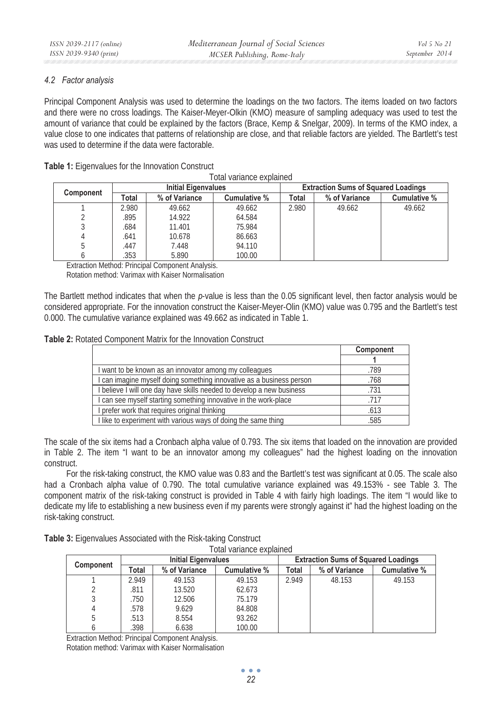# *4.2 Factor analysis*

Principal Component Analysis was used to determine the loadings on the two factors. The items loaded on two factors and there were no cross loadings. The Kaiser-Meyer-Olkin (KMO) measure of sampling adequacy was used to test the amount of variance that could be explained by the factors (Brace, Kemp & Snelgar, 2009). In terms of the KMO index, a value close to one indicates that patterns of relationship are close, and that reliable factors are yielded. The Bartlett's test was used to determine if the data were factorable.

| <b>Table 1:</b> Eigenvalues for the Innovation Construct |
|----------------------------------------------------------|
|----------------------------------------------------------|

Total variance explained

| <b>Component</b> |       | <b>Initial Eigenvalues</b> |              |       | <b>Extraction Sums of Squared Loadings</b> |              |  |
|------------------|-------|----------------------------|--------------|-------|--------------------------------------------|--------------|--|
|                  | Total | % of Variance              | Cumulative % | Total | % of Variance                              | Cumulative % |  |
|                  | 2.980 | 49.662                     | 49.662       | 2.980 | 49.662                                     | 49.662       |  |
|                  | .895  | 14.922                     | 64.584       |       |                                            |              |  |
|                  | .684  | 11.401                     | 75.984       |       |                                            |              |  |
|                  | .641  | 10.678                     | 86.663       |       |                                            |              |  |
|                  | .447  | 7.448                      | 94.110       |       |                                            |              |  |
|                  | .353  | 5.890                      | 100.00       |       |                                            |              |  |

Extraction Method: Principal Component Analysis.

Rotation method: Varimax with Kaiser Normalisation

The Bartlett method indicates that when the *p*-value is less than the 0.05 significant level, then factor analysis would be considered appropriate. For the innovation construct the Kaiser-Meyer-Olin (KMO) value was 0.795 and the Bartlett's test 0.000. The cumulative variance explained was 49.662 as indicated in Table 1.

# **Table 2:** Rotated Component Matrix for the Innovation Construct

|                                                                       | Component |
|-----------------------------------------------------------------------|-----------|
|                                                                       |           |
| I want to be known as an innovator among my colleagues                | .789      |
| I can imagine myself doing something innovative as a business person  | .768      |
| I believe I will one day have skills needed to develop a new business | .731      |
| I can see myself starting something innovative in the work-place      | .717      |
| I prefer work that requires original thinking                         | .613      |
| I like to experiment with various ways of doing the same thing        | .585      |

The scale of the six items had a Cronbach alpha value of 0.793. The six items that loaded on the innovation are provided in Table 2. The item "I want to be an innovator among my colleagues" had the highest loading on the innovation construct.

For the risk-taking construct, the KMO value was 0.83 and the Bartlett's test was significant at 0.05. The scale also had a Cronbach alpha value of 0.790. The total cumulative variance explained was 49.153% - see Table 3. The component matrix of the risk-taking construct is provided in Table 4 with fairly high loadings. The item "I would like to dedicate my life to establishing a new business even if my parents were strongly against it" had the highest loading on the risk-taking construct.

| Table 3: Eigenvalues Associated with the Risk-taking Construct |  |                          |  |
|----------------------------------------------------------------|--|--------------------------|--|
|                                                                |  | Total variance ovplained |  |

| ι υιαι ναπαπισε σλυιαιπου |                            |               |              |                                            |               |              |
|---------------------------|----------------------------|---------------|--------------|--------------------------------------------|---------------|--------------|
|                           | <b>Initial Eigenvalues</b> |               |              | <b>Extraction Sums of Squared Loadings</b> |               |              |
| Component                 | Total                      | % of Variance | Cumulative % | Total                                      | % of Variance | Cumulative % |
|                           | 2.949                      | 49.153        | 49.153       | 2.949                                      | 48.153        | 49.153       |
|                           | .811                       | 13.520        | 62.673       |                                            |               |              |
|                           | .750                       | 12.506        | 75.179       |                                            |               |              |
|                           | .578                       | 9.629         | 84.808       |                                            |               |              |
|                           | .513                       | 8.554         | 93.262       |                                            |               |              |
|                           | .398                       | 6.638         | 100.00       |                                            |               |              |

Extraction Method: Principal Component Analysis.

Rotation method: Varimax with Kaiser Normalisation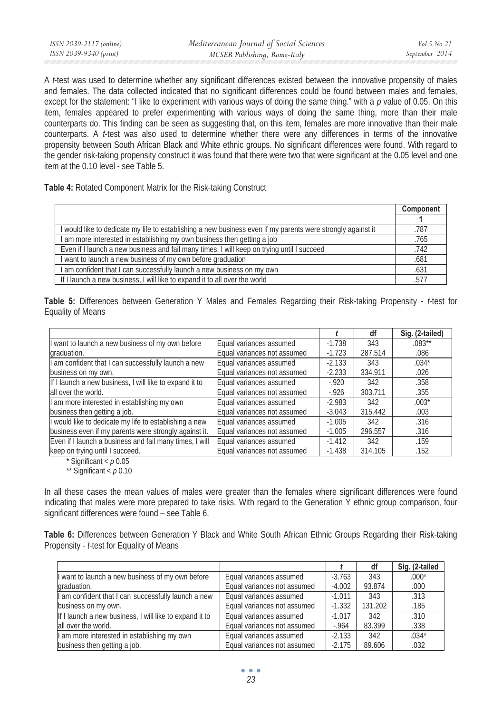| ISSN 2039-2117 (online) | Mediterranean Journal of Social Sciences | Vol 5 No 21    |
|-------------------------|------------------------------------------|----------------|
| ISSN 2039-9340 (print)  | MCSER Publishing, Rome-Italy             | September 2014 |

A *t*-test was used to determine whether any significant differences existed between the innovative propensity of males and females. The data collected indicated that no significant differences could be found between males and females, except for the statement: "I like to experiment with various ways of doing the same thing." with a *p* value of 0.05. On this item, females appeared to prefer experimenting with various ways of doing the same thing, more than their male counterparts do. This finding can be seen as suggesting that, on this item, females are more innovative than their male counterparts. A *t*-test was also used to determine whether there were any differences in terms of the innovative propensity between South African Black and White ethnic groups. No significant differences were found. With regard to the gender risk-taking propensity construct it was found that there were two that were significant at the 0.05 level and one item at the 0.10 level - see Table 5.

**Table 4:** Rotated Component Matrix for the Risk-taking Construct

|                                                                                                             | Component |
|-------------------------------------------------------------------------------------------------------------|-----------|
|                                                                                                             |           |
| I would like to dedicate my life to establishing a new business even if my parents were strongly against it | .787      |
| I am more interested in establishing my own business then getting a job                                     | .765      |
| Even if I launch a new business and fail many times, I will keep on trying until I succeed                  | .742      |
| I want to launch a new business of my own before graduation                                                 | .681      |
| am confident that I can successfully launch a new business on my own                                        | .631      |
| If I launch a new business, I will like to expand it to all over the world                                  | .577      |

**Table 5:** Differences between Generation Y Males and Females Regarding their Risk-taking Propensity - *t*-test for Equality of Means

|                                                         |                             |          | df      | Sig. (2-tailed) |
|---------------------------------------------------------|-----------------------------|----------|---------|-----------------|
| I want to launch a new business of my own before        | Equal variances assumed     | $-1.738$ | 343     | $.083**$        |
| graduation.                                             | Equal variances not assumed | $-1.723$ | 287.514 | .086            |
| I am confident that I can successfully launch a new     | Equal variances assumed     | $-2.133$ | 343     | $.034*$         |
| business on my own.                                     | Equal variances not assumed | $-2.233$ | 334.911 | .026            |
| If I launch a new business, I will like to expand it to | Equal variances assumed     | $-920$   | 342     | .358            |
| all over the world.                                     | Equal variances not assumed | $-926$   | 303.711 | .355            |
| I am more interested in establishing my own             | Equal variances assumed     | $-2.983$ | 342     | $.003*$         |
| business then getting a job.                            | Equal variances not assumed | $-3.043$ | 315.442 | .003            |
| I would like to dedicate my life to establishing a new  | Equal variances assumed     | $-1.005$ | 342     | .316            |
| business even if my parents were strongly against it.   | Equal variances not assumed | $-1.005$ | 296.557 | .316            |
| Even if I launch a business and fail many times, I will | Equal variances assumed     | $-1.412$ | 342     | .159            |
| keep on trying until I succeed.                         | Equal variances not assumed | $-1.438$ | 314.105 | .152            |

\* Significant < *p* 0.05

\*\* Significant < *p* 0.10

In all these cases the mean values of males were greater than the females where significant differences were found indicating that males were more prepared to take risks. With regard to the Generation Y ethnic group comparison, four significant differences were found – see Table 6.

**Table 6:** Differences between Generation Y Black and White South African Ethnic Groups Regarding their Risk-taking Propensity - *t*-test for Equality of Means

|                                                         |                             |          | df      | Sig. (2-tailed |
|---------------------------------------------------------|-----------------------------|----------|---------|----------------|
| I want to launch a new business of my own before        | Equal variances assumed     | $-3.763$ | 343     | $.000*$        |
| graduation.                                             | Equal variances not assumed | $-4.002$ | 93.874  | .000           |
| I am confident that I can successfully launch a new     | Equal variances assumed     | $-1.011$ | 343     | .313           |
| business on my own.                                     | Equal variances not assumed | $-1.332$ | 131.202 | .185           |
| If I launch a new business, I will like to expand it to | Equal variances assumed     | $-1.017$ | 342     | .310           |
| all over the world.                                     | Equal variances not assumed | $-964$   | 83.399  | .338           |
| I am more interested in establishing my own             | Equal variances assumed     | $-2.133$ | 342     | $.034*$        |
| business then getting a job.                            | Equal variances not assumed | $-2.175$ | 89.606  | .032           |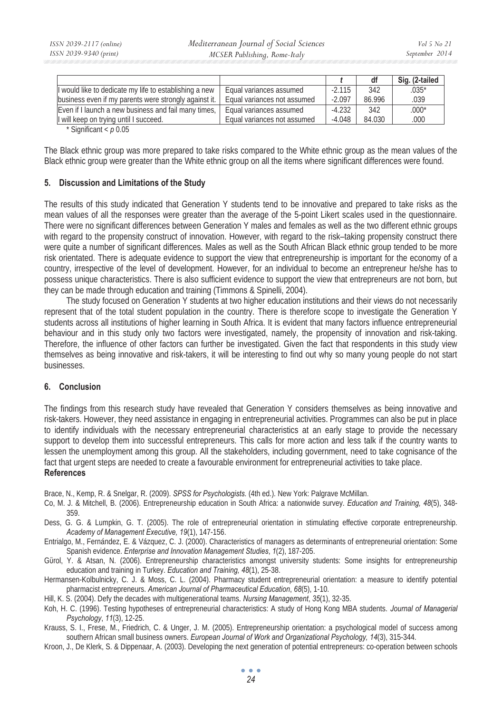|                                                         |                             |          | df     | Sig. (2-tailed |
|---------------------------------------------------------|-----------------------------|----------|--------|----------------|
| If would like to dedicate my life to establishing a new | Equal variances assumed     | $-2.115$ | 342    | $.035*$        |
| business even if my parents were strongly against it.   | Equal variances not assumed | $-2.097$ | 86.996 | .039           |
| Even if I launch a new business and fail many times,    | Equal variances assumed     | $-4.232$ | 342    | $.000*$        |
| I will keep on trying until I succeed.                  | Equal variances not assumed | $-4.048$ | 84.030 | .000           |
| $*$ $C!$ $::$ $:C$ $\rightarrow$ $\rightarrow$ $C$      |                             |          |        |                |

Significant <  $p$  0.05

The Black ethnic group was more prepared to take risks compared to the White ethnic group as the mean values of the Black ethnic group were greater than the White ethnic group on all the items where significant differences were found.

## **5. Discussion and Limitations of the Study**

The results of this study indicated that Generation Y students tend to be innovative and prepared to take risks as the mean values of all the responses were greater than the average of the 5-point Likert scales used in the questionnaire. There were no significant differences between Generation Y males and females as well as the two different ethnic groups with regard to the propensity construct of innovation. However, with regard to the risk–taking propensity construct there were quite a number of significant differences. Males as well as the South African Black ethnic group tended to be more risk orientated. There is adequate evidence to support the view that entrepreneurship is important for the economy of a country, irrespective of the level of development. However, for an individual to become an entrepreneur he/she has to possess unique characteristics. There is also sufficient evidence to support the view that entrepreneurs are not born, but they can be made through education and training (Timmons & Spinelli, 2004).

The study focused on Generation Y students at two higher education institutions and their views do not necessarily represent that of the total student population in the country. There is therefore scope to investigate the Generation Y students across all institutions of higher learning in South Africa. It is evident that many factors influence entrepreneurial behaviour and in this study only two factors were investigated, namely, the propensity of innovation and risk-taking. Therefore, the influence of other factors can further be investigated. Given the fact that respondents in this study view themselves as being innovative and risk-takers, it will be interesting to find out why so many young people do not start businesses.

## **6. Conclusion**

The findings from this research study have revealed that Generation Y considers themselves as being innovative and risk-takers. However, they need assistance in engaging in entrepreneurial activities. Programmes can also be put in place to identify individuals with the necessary entrepreneurial characteristics at an early stage to provide the necessary support to develop them into successful entrepreneurs. This calls for more action and less talk if the country wants to lessen the unemployment among this group. All the stakeholders, including government, need to take cognisance of the fact that urgent steps are needed to create a favourable environment for entrepreneurial activities to take place. **References** 

Brace, N., Kemp, R. & Snelgar, R. (2009). *SPSS for Psychologists.* (4th ed.)*.* New York: Palgrave McMillan.

- Co, M. J. & Mitchell, B. (2006). Entrepreneurship education in South Africa: a nationwide survey. *Education and Training, 48*(5), 348- 359.
- Dess, G. G. & Lumpkin, G. T. (2005). The role of entrepreneurial orientation in stimulating effective corporate entrepreneurship. *Academy of Management Executive, 19*(1), 147-156.
- Entrialgo, M., Fernández, E. & Vázquez, C. J. (2000). Characteristics of managers as determinants of entrepreneurial orientation: Some Spanish evidence. *Enterprise and Innovation Management Studies*, *1*(2), 187-205.
- Gürol, Y. & Atsan, N. (2006). Entrepreneurship characteristics amongst university students: Some insights for entrepreneurship education and training in Turkey. *Education and Training, 48*(1), 25-38.
- Hermansen-Kolbulnicky, C. J. & Moss, C. L. (2004). Pharmacy student entrepreneurial orientation: a measure to identify potential pharmacist entrepreneurs. *American Journal of Pharmaceutical Education*, *68*(5), 1-10.
- Hill, K. S. (2004). Defy the decades with multigenerational teams. *Nursing Management*, *35*(1), 32-35.
- Koh, H. C. (1996). Testing hypotheses of entrepreneurial characteristics: A study of Hong Kong MBA students. *Journal of Managerial Psychology*, *11*(3), 12-25.
- Krauss, S. I., Frese, M., Friedrich, C. & Unger, J. M. (2005). Entrepreneurship orientation: a psychological model of success among southern African small business owners. *European Journal of Work and Organizational Psychology, 14*(3), 315-344.
- Kroon, J., De Klerk, S. & Dippenaar, A. (2003). Developing the next generation of potential entrepreneurs: co-operation between schools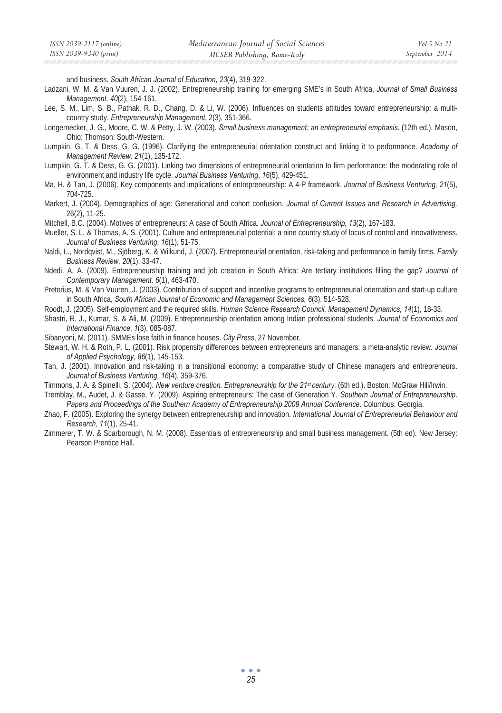and business. *South African Journal of Education*, *23*(4), 319-322.

- Ladzani, W. M. & Van Vuuren, J. J. (2002). Entrepreneurship training for emerging SME's in South Africa, *Journal of Small Business Management, 40*(2), 154-161.
- Lee, S. M., Lim, S. B., Pathak, R. D., Chang, D. & Li, W. (2006). Influences on students attitudes toward entrepreneurship: a multicountry study. *Entrepreneurship Management*, 2(3), 351-366.
- Longernecker, J. G., Moore, C. W. & Petty, J. W. (2003). *Small business management: an entrepreneurial* e*mphasis*. (12th ed.). Mason, Ohio: Thomson: South-Western.
- Lumpkin, G. T. & Dess, G. G. (1996). Clarifying the entrepreneurial orientation construct and linking it to performance. *Academy of Management Review, 21*(1), 135-172.
- Lumpkin, G. T. & Dess, G. G. (2001). Linking two dimensions of entrepreneurial orientation to firm performance: the moderating role of environment and industry life cycle. *Journal Business Venturing*, *16*(5), 429-451.
- Ma, H. & Tan, J. (2006). Key components and implications of entrepreneurship: A 4-P framework. *Journal of Business Venturing, 21*(5), 704-725.

Markert, J. (2004). Demographics of age: Generational and cohort confusion. *Journal of Current Issues and Research in Advertising,* 26(2), 11-25.

- Mitchell, B.C. (2004). Motives of entrepreneurs: A case of South Africa. *Journal of Entrepreneurship, 13*(2), 167-183.
- Mueller, S. L. & Thomas, A. S. (2001). Culture and entrepreneurial potential: a nine country study of locus of control and innovativeness. *Journal of Business Venturing*, *16*(1), 51-75.
- Naldi, L., Nordqvist, M., Sjöberg, K. & Wilkund, J. (2007). Entrepreneurial orientation, risk-taking and performance in family firms. *Family Business Review, 20*(1), 33-47.
- Ndedi, A. A. (2009). Entrepreneurship training and job creation in South Africa: Are tertiary institutions filling the gap? *Journal of Contemporary Management, 6*(1), 463-470.
- Pretorius, M. & Van Vuuren, J. (2003). Contribution of support and incentive programs to entrepreneurial orientation and start-up culture in South Africa, *South African Journal of Economic and Management Sciences, 6*(3), 514-528.
- Roodt, J. (2005). Self-employment and the required skills. *Human Science Research Council, Management Dynamics, 14*(1), 18-33.

Shastri, R. J., Kumar, S. & Ali, M. (2009). Entrepreneurship orientation among Indian professional students. *Journal of Economics and International Finance*, *1*(3), 085-087.

Sibanyoni, M. (2011). SMMEs lose faith in finance houses. *City Press*, 27 November.

- Stewart, W. H. & Roth, P. L. (2001). Risk propensity differences between entrepreneurs and managers: a meta-analytic review. *Journal of Applied Psychology, 86*(1), 145-153.
- Tan, J. (2001). Innovation and risk-taking in a transitional economy: a comparative study of Chinese managers and entrepreneurs. *Journal of Business Venturing, 16*(4), 359-376.
- Timmons, J. A. & Spinelli, S. (2004). *New venture creation. Entrepreneurship for the 21st century.* (6th ed.). Boston: McGraw Hill/Irwin.

Tremblay, M., Audet, J. & Gasse, Y. (2009). Aspiring entrepreneurs: The case of Generation Y. *Southern Journal of Entrepreneurship*. *Papers and Proceedings of the Southern Academy of Entrepreneurship 2009 Annual Conference*. Columbus. Georgia.

- Zhao, F. (2005). Exploring the synergy between entrepreneurship and innovation. *International Journal of Entrepreneurial Behaviour and Research, 11*(1), 25-41.
- Zimmerer, T. W. & Scarborough, N. M. (2008). Essentials of entrepreneurship and small business management. (5th ed). New Jersey: Pearson Prentice Hall.